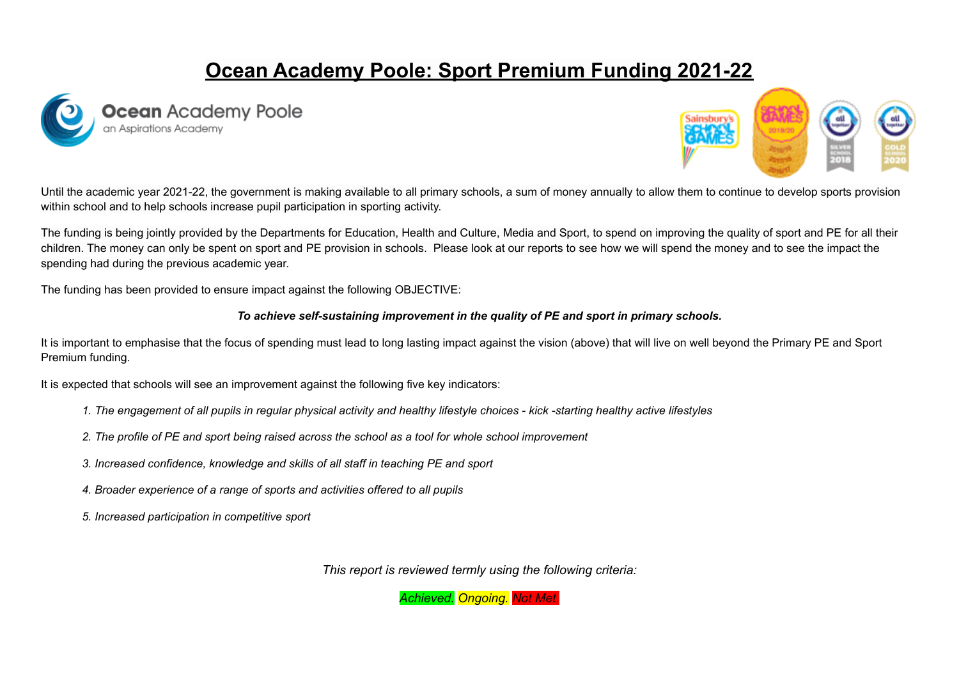# **Ocean Academy Poole: Sport Premium Funding 2021-22**





Until the academic year 2021-22, the government is making available to all primary schools, a sum of money annually to allow them to continue to develop sports provision within school and to help schools increase pupil participation in sporting activity.

The funding is being jointly provided by the Departments for Education, Health and Culture, Media and Sport, to spend on improving the quality of sport and PE for all their children. The money can only be spent on sport and PE provision in schools. Please look at our reports to see how we will spend the money and to see the impact the spending had during the previous academic year.

The funding has been provided to ensure impact against the following OBJECTIVE:

#### *To achieve self-sustaining improvement in the quality of PE and sport in primary schools.*

It is important to emphasise that the focus of spending must lead to long lasting impact against the vision (above) that will live on well beyond the Primary PE and Sport Premium funding.

It is expected that schools will see an improvement against the following five key indicators:

- 1. The engagement of all pupils in regular physical activity and healthy lifestyle choices kick -starting healthy active lifestyles
- 2. The profile of PE and sport being raised across the school as a tool for whole school improvement
- *3. Increased confidence, knowledge and skills of all staff in teaching PE and sport*
- *4. Broader experience of a range of sports and activities offered to all pupils*
- *5. Increased participation in competitive sport*

*This report is reviewed termly using the following criteria:*

*Achieved. Ongoing. Not Met.*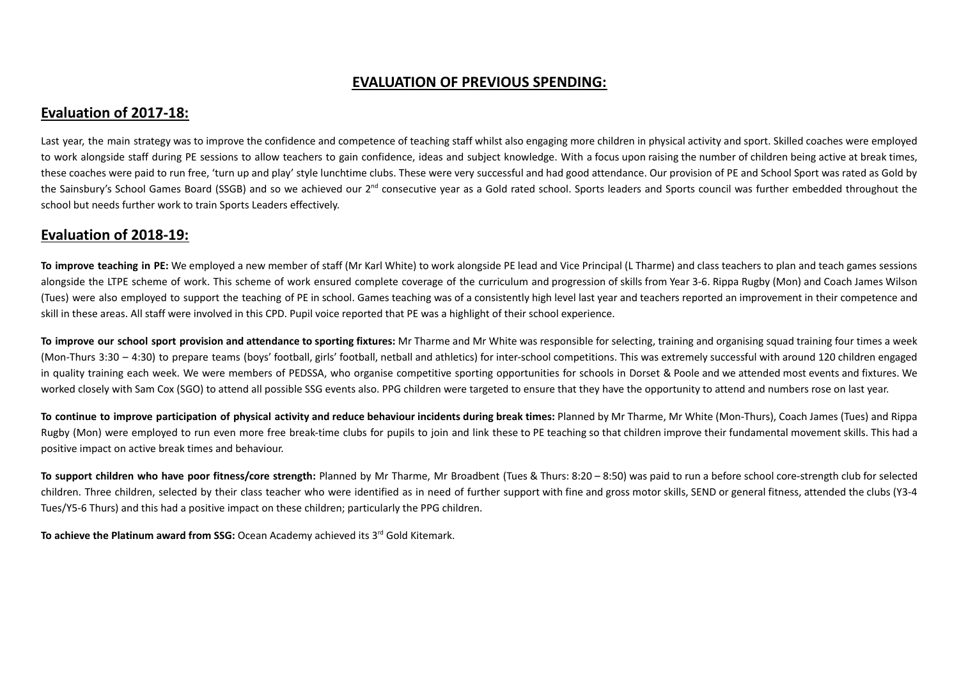## **EVALUATION OF PREVIOUS SPENDING:**

### **Evaluation of 2017-18:**

Last year, the main strategy was to improve the confidence and competence of teaching staff whilst also engaging more children in physical activity and sport. Skilled coaches were employed to work alongside staff during PE sessions to allow teachers to gain confidence, ideas and subject knowledge. With a focus upon raising the number of children being active at break times, these coaches were paid to run free, 'turn up and play' style lunchtime clubs. These were very successful and had good attendance. Our provision of PE and School Sport was rated as Gold by the Sainsbury's School Games Board (SSGB) and so we achieved our 2<sup>nd</sup> consecutive year as a Gold rated school. Sports leaders and Sports council was further embedded throughout the school but needs further work to train Sports Leaders effectively.

## **Evaluation of 2018-19:**

**To improve teaching in PE:** We employed a new member of staff (Mr Karl White) to work alongside PE lead and Vice Principal (L Tharme) and class teachers to plan and teach games sessions alongside the LTPE scheme of work. This scheme of work ensured complete coverage of the curriculum and progression of skills from Year 3-6. Rippa Rugby (Mon) and Coach James Wilson (Tues) were also employed to support the teaching of PE in school. Games teaching was of a consistently high level last year and teachers reported an improvement in their competence and skill in these areas. All staff were involved in this CPD. Pupil voice reported that PE was a highlight of their school experience.

To improve our school sport provision and attendance to sporting fixtures: Mr Tharme and Mr White was responsible for selecting, training and organising squad training four times a week (Mon-Thurs 3:30 – 4:30) to prepare teams (boys' football, girls' football, netball and athletics) for inter-school competitions. This was extremely successful with around 120 children engaged in quality training each week. We were members of PEDSSA, who organise competitive sporting opportunities for schools in Dorset & Poole and we attended most events and fixtures. We worked closely with Sam Cox (SGO) to attend all possible SSG events also. PPG children were targeted to ensure that they have the opportunity to attend and numbers rose on last year.

To continue to improve participation of physical activity and reduce behaviour incidents during break times: Planned by Mr Tharme. Mr White (Mon-Thurs). Coach James (Tues) and Rippa Rugby (Mon) were employed to run even more free break-time clubs for pupils to join and link these to PE teaching so that children improve their fundamental movement skills. This had a positive impact on active break times and behaviour.

To support children who have poor fitness/core strength: Planned by Mr Tharme, Mr Broadbent (Tues & Thurs: 8:20 - 8:50) was paid to run a before school core-strength club for selected children. Three children, selected by their class teacher who were identified as in need of further support with fine and gross motor skills, SEND or general fitness, attended the clubs (Y3-4 Tues/Y5-6 Thurs) and this had a positive impact on these children; particularly the PPG children.

**To achieve the Platinum award from SSG:** Ocean Academy achieved its 3 rd Gold Kitemark.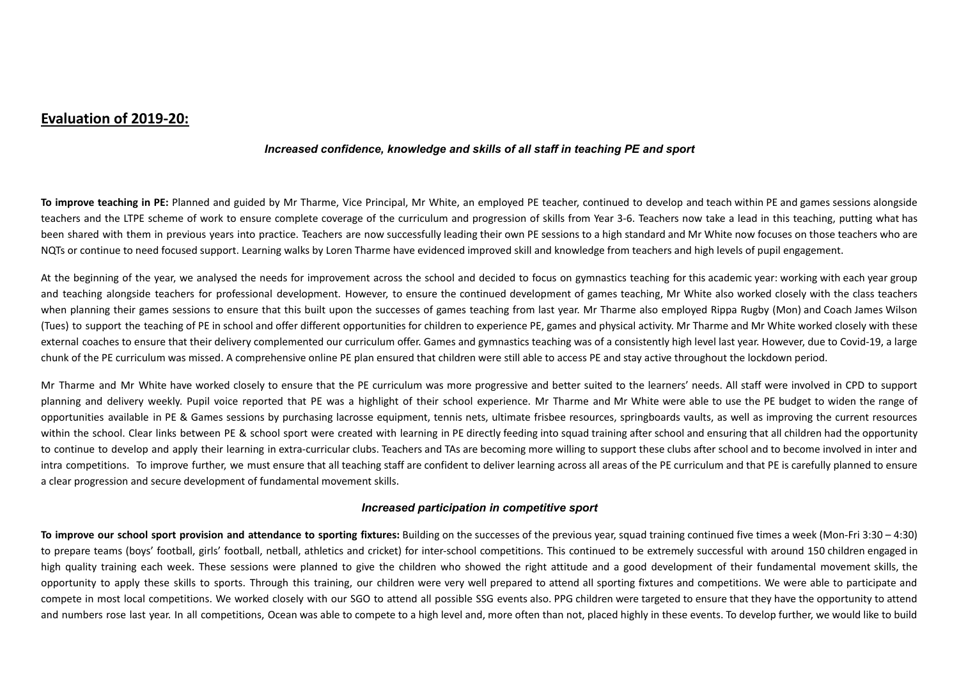## **Evaluation of 2019-20:**

#### *Increased confidence, knowledge and skills of all staff in teaching PE and sport*

**To improve teaching in PE:** Planned and guided by Mr Tharme, Vice Principal, Mr White, an employed PE teacher, continued to develop and teach within PE and games sessions alongside teachers and the LTPE scheme of work to ensure complete coverage of the curriculum and progression of skills from Year 3-6. Teachers now take a lead in this teaching, putting what has been shared with them in previous years into practice. Teachers are now successfully leading their own PE sessions to a high standard and Mr White now focuses on those teachers who are NQTs or continue to need focused support. Learning walks by Loren Tharme have evidenced improved skill and knowledge from teachers and high levels of pupil engagement.

At the beginning of the year, we analysed the needs for improvement across the school and decided to focus on gymnastics teaching for this academic year: working with each year group and teaching alongside teachers for professional development. However, to ensure the continued development of games teaching, Mr White also worked closely with the class teachers when planning their games sessions to ensure that this built upon the successes of games teaching from last year. Mr Tharme also employed Rippa Rugby (Mon) and Coach James Wilson (Tues) to support the teaching of PE in school and offer different opportunities for children to experience PE, games and physical activity. Mr Tharme and Mr White worked closely with these external coaches to ensure that their delivery complemented our curriculum offer. Games and gymnastics teaching was of a consistently high level last year. However, due to Covid-19, a large chunk of the PE curriculum was missed. A comprehensive online PE plan ensured that children were still able to access PE and stay active throughout the lockdown period.

Mr Tharme and Mr White have worked closely to ensure that the PE curriculum was more progressive and better suited to the learners' needs. All staff were involved in CPD to support planning and delivery weekly. Pupil voice reported that PE was a highlight of their school experience. Mr Tharme and Mr White were able to use the PE budget to widen the range of opportunities available in PE & Games sessions by purchasing lacrosse equipment, tennis nets, ultimate frisbee resources, springboards vaults, as well as improving the current resources within the school. Clear links between PE & school sport were created with learning in PE directly feeding into squad training after school and ensuring that all children had the opportunity to continue to develop and apply their learning in extra-curricular clubs. Teachers and TAs are becoming more willing to support these clubs after school and to become involved in inter and intra competitions. To improve further, we must ensure that all teaching staff are confident to deliver learning across all areas of the PE curriculum and that PE is carefully planned to ensure a clear progression and secure development of fundamental movement skills.

#### *Increased participation in competitive sport*

**To improve our school sport provision and attendance to sporting fixtures:** Building on the successes of the previous year, squad training continued five times a week (Mon-Fri 3:30 – 4:30) to prepare teams (boys' football, girls' football, netball, athletics and cricket) for inter-school competitions. This continued to be extremely successful with around 150 children engaged in high quality training each week. These sessions were planned to give the children who showed the right attitude and a good development of their fundamental movement skills, the opportunity to apply these skills to sports. Through this training, our children were very well prepared to attend all sporting fixtures and competitions. We were able to participate and compete in most local competitions. We worked closely with our SGO to attend all possible SSG events also. PPG children were targeted to ensure that they have the opportunity to attend and numbers rose last year. In all competitions, Ocean was able to compete to a high level and, more often than not, placed highly in these events. To develop further, we would like to build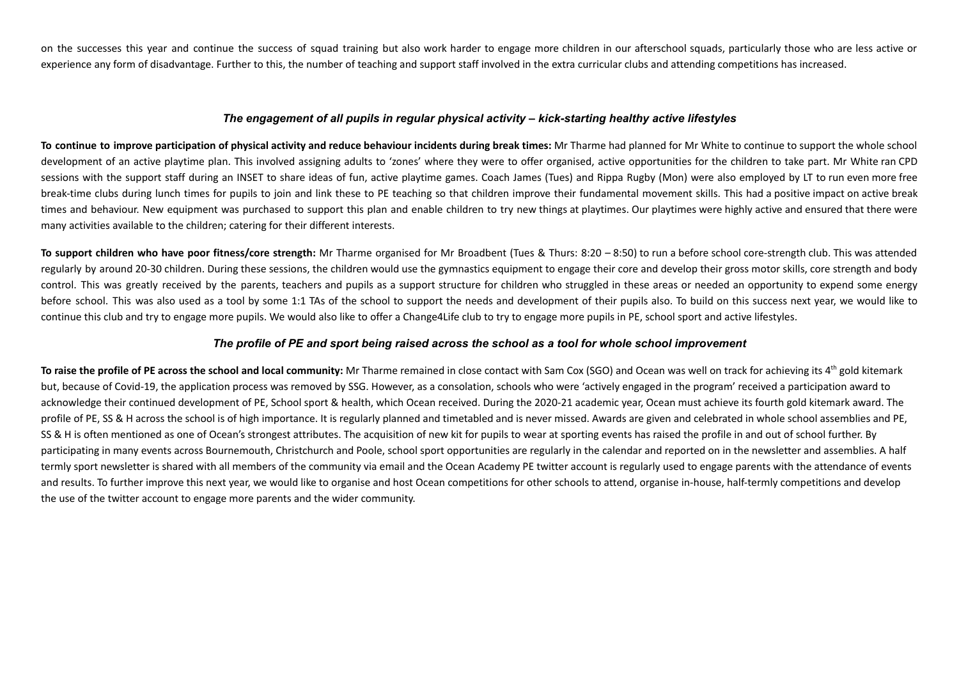on the successes this year and continue the success of squad training but also work harder to engage more children in our afterschool squads, particularly those who are less active or experience any form of disadvantage. Further to this, the number of teaching and support staff involved in the extra curricular clubs and attending competitions has increased.

#### *The engagement of all pupils in regular physical activity – kick-starting healthy active lifestyles*

To continue to improve participation of physical activity and reduce behaviour incidents during break times: Mr Tharme had planned for Mr White to continue to support the whole school development of an active playtime plan. This involved assigning adults to 'zones' where they were to offer organised, active opportunities for the children to take part. Mr White ran CPD sessions with the support staff during an INSET to share ideas of fun, active playtime games. Coach James (Tues) and Rippa Rugby (Mon) were also employed by LT to run even more free break-time clubs during lunch times for pupils to join and link these to PE teaching so that children improve their fundamental movement skills. This had a positive impact on active break times and behaviour. New equipment was purchased to support this plan and enable children to try new things at playtimes. Our playtimes were highly active and ensured that there were many activities available to the children; catering for their different interests.

To support children who have poor fitness/core strength: Mr Tharme organised for Mr Broadbent (Tues & Thurs: 8:20 - 8:50) to run a before school core-strength club. This was attended regularly by around 20-30 children. During these sessions, the children would use the gymnastics equipment to engage their core and develop their gross motor skills, core strength and body control. This was greatly received by the parents, teachers and pupils as a support structure for children who struggled in these areas or needed an opportunity to expend some energy before school. This was also used as a tool by some 1:1 TAs of the school to support the needs and development of their pupils also. To build on this success next year, we would like to continue this club and try to engage more pupils. We would also like to offer a Change4Life club to try to engage more pupils in PE, school sport and active lifestyles.

#### *The profile of PE and sport being raised across the school as a tool for whole school improvement*

To raise the profile of PE across the school and local community: Mr Tharme remained in close contact with Sam Cox (SGO) and Ocean was well on track for achieving its 4<sup>th</sup> gold kitemark but, because of Covid-19, the application process was removed by SSG. However, as a consolation, schools who were 'actively engaged in the program' received a participation award to acknowledge their continued development of PE, School sport & health, which Ocean received. During the 2020-21 academic year, Ocean must achieve its fourth gold kitemark award. The profile of PE, SS & H across the school is of high importance. It is regularly planned and timetabled and is never missed. Awards are given and celebrated in whole school assemblies and PE, SS & H is often mentioned as one of Ocean's strongest attributes. The acquisition of new kit for pupils to wear at sporting events has raised the profile in and out of school further. By participating in many events across Bournemouth, Christchurch and Poole, school sport opportunities are regularly in the calendar and reported on in the newsletter and assemblies. A half termly sport newsletter is shared with all members of the community via email and the Ocean Academy PE twitter account is regularly used to engage parents with the attendance of events and results. To further improve this next year, we would like to organise and host Ocean competitions for other schools to attend, organise in-house, half-termly competitions and develop the use of the twitter account to engage more parents and the wider community.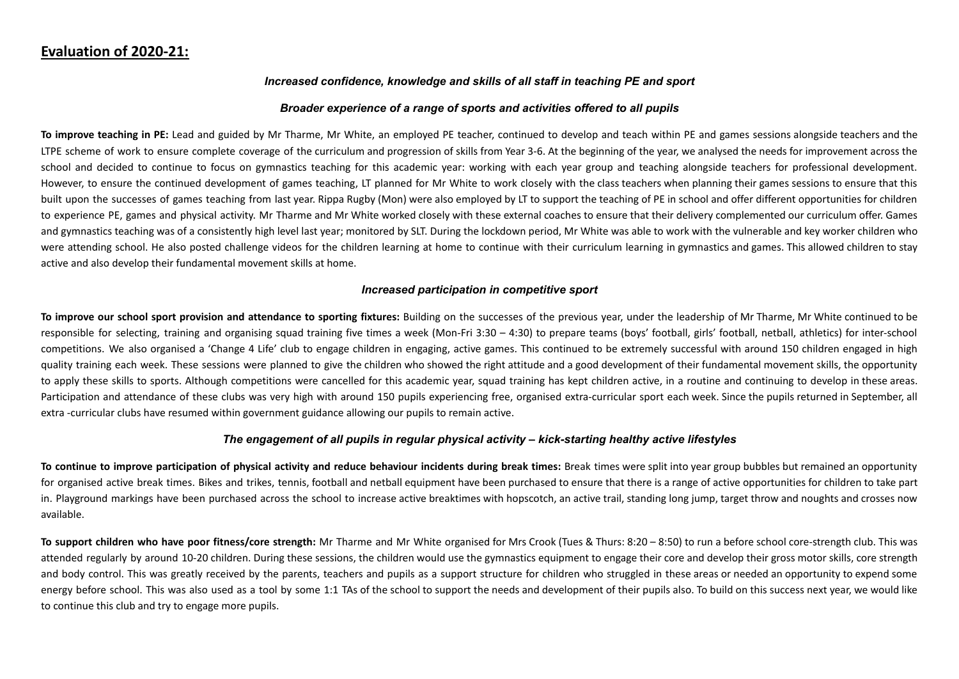## **Evaluation of 2020-21:**

#### *Increased confidence, knowledge and skills of all staff in teaching PE and sport*

#### *Broader experience of a range of sports and activities offered to all pupils*

**To improve teaching in PE:** Lead and guided by Mr Tharme, Mr White, an employed PE teacher, continued to develop and teach within PE and games sessions alongside teachers and the LTPE scheme of work to ensure complete coverage of the curriculum and progression of skills from Year 3-6. At the beginning of the year, we analysed the needs for improvement across the school and decided to continue to focus on gymnastics teaching for this academic year: working with each year group and teaching alongside teachers for professional development. However, to ensure the continued development of games teaching, LT planned for Mr White to work closely with the class teachers when planning their games sessions to ensure that this built upon the successes of games teaching from last year. Rippa Rugby (Mon) were also employed by LT to support the teaching of PE in school and offer different opportunities for children to experience PE, games and physical activity. Mr Tharme and Mr White worked closely with these external coaches to ensure that their delivery complemented our curriculum offer. Games and gymnastics teaching was of a consistently high level last year; monitored by SLT. During the lockdown period, Mr White was able to work with the vulnerable and key worker children who were attending school. He also posted challenge videos for the children learning at home to continue with their curriculum learning in gymnastics and games. This allowed children to stay active and also develop their fundamental movement skills at home.

#### *Increased participation in competitive sport*

To improve our school sport provision and attendance to sporting fixtures: Building on the successes of the previous year, under the leadership of Mr Tharme, Mr White continued to be responsible for selecting, training and organising squad training five times a week (Mon-Fri 3:30 – 4:30) to prepare teams (boys' football, girls' football, netball, athletics) for inter-school competitions. We also organised a 'Change 4 Life' club to engage children in engaging, active games. This continued to be extremely successful with around 150 children engaged in high quality training each week. These sessions were planned to give the children who showed the right attitude and a good development of their fundamental movement skills, the opportunity to apply these skills to sports. Although competitions were cancelled for this academic year, squad training has kept children active, in a routine and continuing to develop in these areas. Participation and attendance of these clubs was very high with around 150 pupils experiencing free, organised extra-curricular sport each week. Since the pupils returned in September, all extra -curricular clubs have resumed within government guidance allowing our pupils to remain active.

#### *The engagement of all pupils in regular physical activity – kick-starting healthy active lifestyles*

To continue to improve participation of physical activity and reduce behaviour incidents during break times: Break times were split into year group bubbles but remained an opportunity for organised active break times. Bikes and trikes, tennis, football and netball equipment have been purchased to ensure that there is a range of active opportunities for children to take part in. Playground markings have been purchased across the school to increase active breaktimes with hopscotch, an active trail, standing long jump, target throw and noughts and crosses now available.

To support children who have poor fitness/core strength: Mr Tharme and Mr White organised for Mrs Crook (Tues & Thurs: 8:20 - 8:50) to run a before school core-strength club. This was attended regularly by around 10-20 children. During these sessions, the children would use the gymnastics equipment to engage their core and develop their gross motor skills, core strength and body control. This was greatly received by the parents, teachers and pupils as a support structure for children who struggled in these areas or needed an opportunity to expend some energy before school. This was also used as a tool by some 1:1 TAs of the school to support the needs and development of their pupils also. To build on this success next year, we would like to continue this club and try to engage more pupils.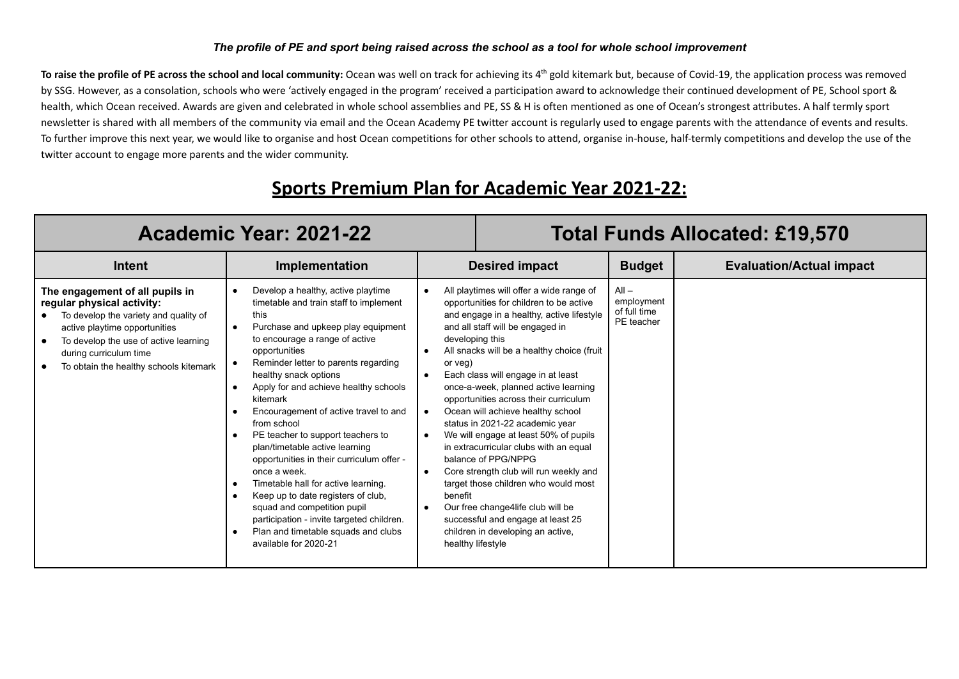#### *The profile of PE and sport being raised across the school as a tool for whole school improvement*

To raise the profile of PE across the school and local community: Ocean was well on track for achieving its 4<sup>th</sup> gold kitemark but, because of Covid-19, the application process was removed by SSG. However, as a consolation, schools who were 'actively engaged in the program' received a participation award to acknowledge their continued development of PE, School sport & health, which Ocean received. Awards are given and celebrated in whole school assemblies and PE, SS & H is often mentioned as one of Ocean's strongest attributes. A half termly sport newsletter is shared with all members of the community via email and the Ocean Academy PE twitter account is regularly used to engage parents with the attendance of events and results. To further improve this next year, we would like to organise and host Ocean competitions for other schools to attend, organise in-house, half-termly competitions and develop the use of the twitter account to engage more parents and the wider community.

## **Sports Premium Plan for Academic Year 2021-22:**

| Academic Year: 2021-22                                                                                                                                                                                                                               |                                                                                                                                                                                                                                                                                                                                                                                                                                                                                                                                                                                                                                                                                                                          | <b>Total Funds Allocated: £19,570</b>                           |                                                                                                                                                                                                                                                                                                                                                                                                                                                                                                                                                                                                                                                                                                                                                   |                                                     |                                 |
|------------------------------------------------------------------------------------------------------------------------------------------------------------------------------------------------------------------------------------------------------|--------------------------------------------------------------------------------------------------------------------------------------------------------------------------------------------------------------------------------------------------------------------------------------------------------------------------------------------------------------------------------------------------------------------------------------------------------------------------------------------------------------------------------------------------------------------------------------------------------------------------------------------------------------------------------------------------------------------------|-----------------------------------------------------------------|---------------------------------------------------------------------------------------------------------------------------------------------------------------------------------------------------------------------------------------------------------------------------------------------------------------------------------------------------------------------------------------------------------------------------------------------------------------------------------------------------------------------------------------------------------------------------------------------------------------------------------------------------------------------------------------------------------------------------------------------------|-----------------------------------------------------|---------------------------------|
| Intent                                                                                                                                                                                                                                               | Implementation                                                                                                                                                                                                                                                                                                                                                                                                                                                                                                                                                                                                                                                                                                           |                                                                 | <b>Desired impact</b>                                                                                                                                                                                                                                                                                                                                                                                                                                                                                                                                                                                                                                                                                                                             | <b>Budget</b>                                       | <b>Evaluation/Actual impact</b> |
| The engagement of all pupils in<br>regular physical activity:<br>To develop the variety and quality of<br>active playtime opportunities<br>To develop the use of active learning<br>during curriculum time<br>To obtain the healthy schools kitemark | Develop a healthy, active playtime<br>timetable and train staff to implement<br>this<br>Purchase and upkeep play equipment<br>to encourage a range of active<br>opportunities<br>Reminder letter to parents regarding<br>healthy snack options<br>Apply for and achieve healthy schools<br>kitemark<br>Encouragement of active travel to and<br>from school<br>PE teacher to support teachers to<br>plan/timetable active learning<br>opportunities in their curriculum offer -<br>once a week.<br>Timetable hall for active learning.<br>Keep up to date registers of club,<br>squad and competition pupil<br>participation - invite targeted children.<br>Plan and timetable squads and clubs<br>available for 2020-21 | $\bullet$<br>developing this<br>or veg)<br>$\bullet$<br>benefit | All playtimes will offer a wide range of<br>opportunities for children to be active<br>and engage in a healthy, active lifestyle<br>and all staff will be engaged in<br>All snacks will be a healthy choice (fruit<br>Each class will engage in at least<br>once-a-week, planned active learning<br>opportunities across their curriculum<br>Ocean will achieve healthy school<br>status in 2021-22 academic year<br>We will engage at least 50% of pupils<br>in extracurricular clubs with an equal<br>balance of PPG/NPPG<br>Core strength club will run weekly and<br>target those children who would most<br>Our free change4life club will be<br>successful and engage at least 25<br>children in developing an active,<br>healthy lifestyle | $All -$<br>employment<br>of full time<br>PE teacher |                                 |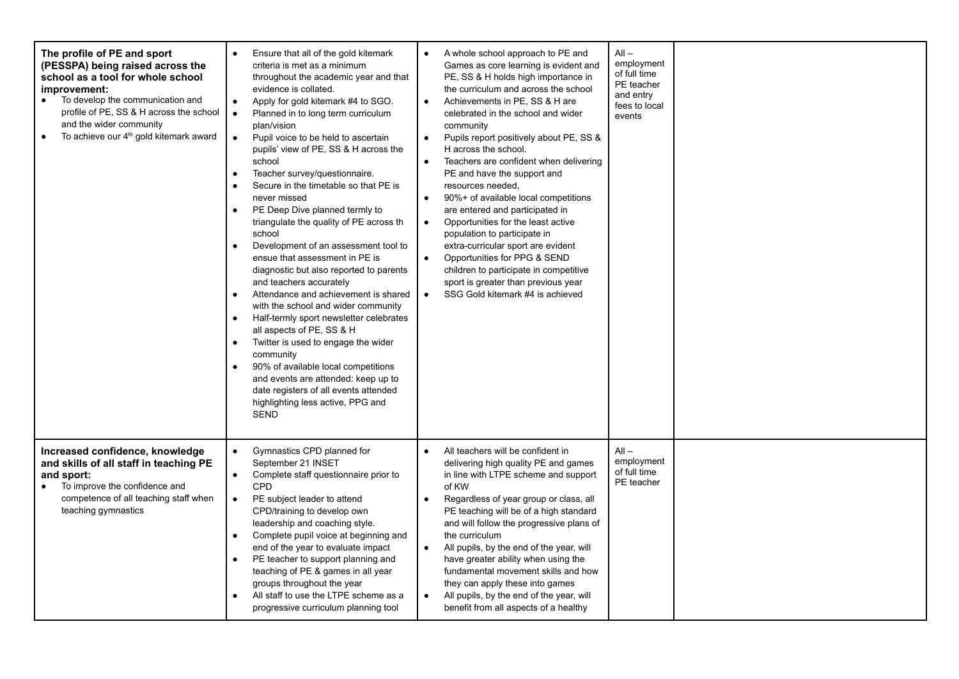| The profile of PE and sport<br>(PESSPA) being raised across the<br>school as a tool for whole school<br>improvement:<br>To develop the communication and<br>$\bullet$<br>profile of PE, SS & H across the school<br>and the wider community<br>To achieve our 4 <sup>th</sup> gold kitemark award<br>$\bullet$ | Ensure that all of the gold kitemark<br>$\bullet$<br>criteria is met as a minimum<br>throughout the academic year and that<br>evidence is collated.<br>Apply for gold kitemark #4 to SGO.<br>$\bullet$<br>Planned in to long term curriculum<br>$\bullet$<br>plan/vision<br>Pupil voice to be held to ascertain<br>$\bullet$<br>pupils' view of PE, SS & H across the<br>school<br>Teacher survey/questionnaire.<br>Secure in the timetable so that PE is<br>never missed<br>PE Deep Dive planned termly to<br>triangulate the quality of PE across th<br>school<br>Development of an assessment tool to<br>ensue that assessment in PE is<br>diagnostic but also reported to parents<br>and teachers accurately<br>Attendance and achievement is shared<br>$\bullet$<br>with the school and wider community<br>Half-termly sport newsletter celebrates<br>all aspects of PE, SS & H<br>Twitter is used to engage the wider<br>community<br>90% of available local competitions<br>and events are attended: keep up to<br>date registers of all events attended<br>highlighting less active, PPG and<br><b>SEND</b> | A whole school approach to PE and<br>Games as core learning is evident and<br>PE, SS & H holds high importance in<br>the curriculum and across the school<br>Achievements in PE, SS & H are<br>$\bullet$<br>celebrated in the school and wider<br>community<br>Pupils report positively about PE, SS &<br>$\bullet$<br>H across the school.<br>Teachers are confident when delivering<br>$\bullet$<br>PE and have the support and<br>resources needed.<br>90%+ of available local competitions<br>$\bullet$<br>are entered and participated in<br>Opportunities for the least active<br>$\bullet$<br>population to participate in<br>extra-curricular sport are evident<br>Opportunities for PPG & SEND<br>$\bullet$<br>children to participate in competitive<br>sport is greater than previous year<br>SSG Gold kitemark #4 is achieved<br>$\bullet$ | $All -$<br>employment<br>of full time<br>PE teacher<br>and entry<br>fees to local<br>events |  |
|----------------------------------------------------------------------------------------------------------------------------------------------------------------------------------------------------------------------------------------------------------------------------------------------------------------|---------------------------------------------------------------------------------------------------------------------------------------------------------------------------------------------------------------------------------------------------------------------------------------------------------------------------------------------------------------------------------------------------------------------------------------------------------------------------------------------------------------------------------------------------------------------------------------------------------------------------------------------------------------------------------------------------------------------------------------------------------------------------------------------------------------------------------------------------------------------------------------------------------------------------------------------------------------------------------------------------------------------------------------------------------------------------------------------------------------------|--------------------------------------------------------------------------------------------------------------------------------------------------------------------------------------------------------------------------------------------------------------------------------------------------------------------------------------------------------------------------------------------------------------------------------------------------------------------------------------------------------------------------------------------------------------------------------------------------------------------------------------------------------------------------------------------------------------------------------------------------------------------------------------------------------------------------------------------------------|---------------------------------------------------------------------------------------------|--|
| Increased confidence, knowledge<br>and skills of all staff in teaching PE<br>and sport:<br>To improve the confidence and<br>$\bullet$<br>competence of all teaching staff when<br>teaching gymnastics                                                                                                          | Gymnastics CPD planned for<br>$\bullet$<br>September 21 INSET<br>Complete staff questionnaire prior to<br>$\bullet$<br>CPD<br>PE subject leader to attend<br>$\bullet$<br>CPD/training to develop own<br>leadership and coaching style.<br>Complete pupil voice at beginning and<br>end of the year to evaluate impact<br>PE teacher to support planning and<br>teaching of PE & games in all year<br>groups throughout the year<br>All staff to use the LTPE scheme as a<br>progressive curriculum planning tool                                                                                                                                                                                                                                                                                                                                                                                                                                                                                                                                                                                                   | All teachers will be confident in<br>delivering high quality PE and games<br>in line with LTPE scheme and support<br>of KW<br>Regardless of year group or class, all<br>$\bullet$<br>PE teaching will be of a high standard<br>and will follow the progressive plans of<br>the curriculum<br>All pupils, by the end of the year, will<br>$\bullet$<br>have greater ability when using the<br>fundamental movement skills and how<br>they can apply these into games<br>All pupils, by the end of the year, will<br>benefit from all aspects of a healthy                                                                                                                                                                                                                                                                                               | $All -$<br>employment<br>of full time<br>PE teacher                                         |  |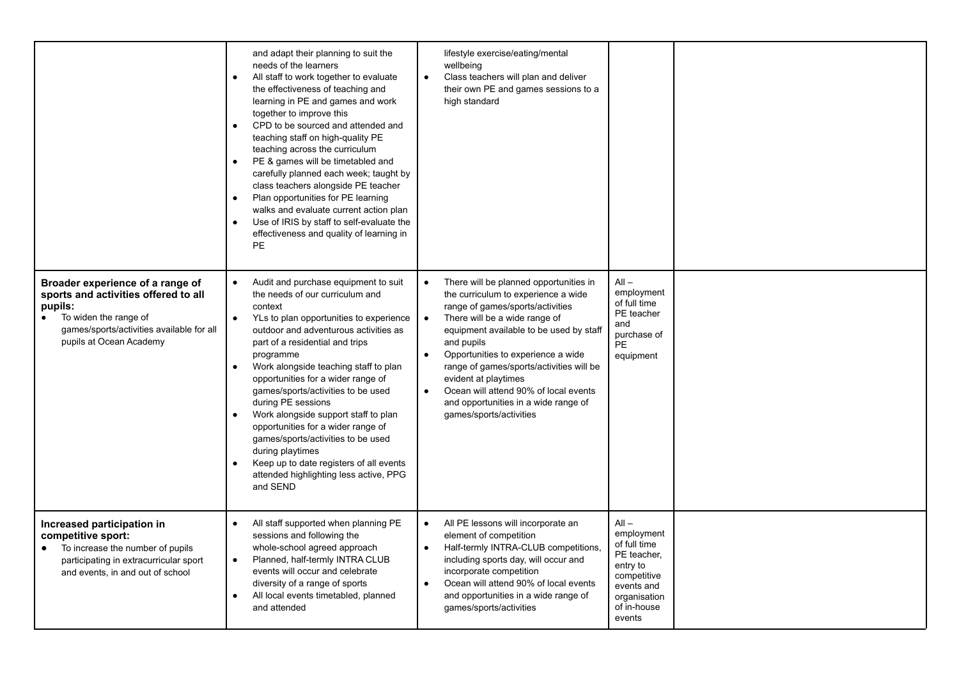|                                                                                                                                                                                                   | and adapt their planning to suit the<br>needs of the learners<br>All staff to work together to evaluate<br>$\bullet$<br>the effectiveness of teaching and<br>learning in PE and games and work<br>together to improve this<br>CPD to be sourced and attended and<br>$\bullet$<br>teaching staff on high-quality PE<br>teaching across the curriculum<br>PE & games will be timetabled and<br>$\bullet$<br>carefully planned each week; taught by<br>class teachers alongside PE teacher<br>Plan opportunities for PE learning<br>walks and evaluate current action plan<br>Use of IRIS by staff to self-evaluate the<br>effectiveness and quality of learning in<br>PE | lifestyle exercise/eating/mental<br>wellbeing<br>Class teachers will plan and deliver<br>$\bullet$<br>their own PE and games sessions to a<br>high standard                                                                                                                                                                                                                                                                                                                           |                                                                                                                                        |  |
|---------------------------------------------------------------------------------------------------------------------------------------------------------------------------------------------------|------------------------------------------------------------------------------------------------------------------------------------------------------------------------------------------------------------------------------------------------------------------------------------------------------------------------------------------------------------------------------------------------------------------------------------------------------------------------------------------------------------------------------------------------------------------------------------------------------------------------------------------------------------------------|---------------------------------------------------------------------------------------------------------------------------------------------------------------------------------------------------------------------------------------------------------------------------------------------------------------------------------------------------------------------------------------------------------------------------------------------------------------------------------------|----------------------------------------------------------------------------------------------------------------------------------------|--|
| Broader experience of a range of<br>sports and activities offered to all<br>pupils:<br>To widen the range of<br>$\bullet$<br>games/sports/activities available for all<br>pupils at Ocean Academy | Audit and purchase equipment to suit<br>$\bullet$<br>the needs of our curriculum and<br>context<br>YLs to plan opportunities to experience<br>$\bullet$<br>outdoor and adventurous activities as<br>part of a residential and trips<br>programme<br>Work alongside teaching staff to plan<br>$\bullet$<br>opportunities for a wider range of<br>games/sports/activities to be used<br>during PE sessions<br>Work alongside support staff to plan<br>$\bullet$<br>opportunities for a wider range of<br>games/sports/activities to be used<br>during playtimes<br>Keep up to date registers of all events<br>attended highlighting less active, PPG<br>and SEND         | There will be planned opportunities in<br>$\bullet$<br>the curriculum to experience a wide<br>range of games/sports/activities<br>There will be a wide range of<br>$\bullet$<br>equipment available to be used by staff<br>and pupils<br>Opportunities to experience a wide<br>$\bullet$<br>range of games/sports/activities will be<br>evident at playtimes<br>Ocean will attend 90% of local events<br>$\bullet$<br>and opportunities in a wide range of<br>games/sports/activities | $All -$<br>employment<br>of full time<br>PE teacher<br>and<br>purchase of<br><b>PE</b><br>equipment                                    |  |
| Increased participation in<br>competitive sport:<br>To increase the number of pupils<br>participating in extracurricular sport<br>and events, in and out of school                                | All staff supported when planning PE<br>$\bullet$<br>sessions and following the<br>whole-school agreed approach<br>Planned, half-termly INTRA CLUB<br>$\bullet$<br>events will occur and celebrate<br>diversity of a range of sports<br>All local events timetabled, planned<br>$\bullet$<br>and attended                                                                                                                                                                                                                                                                                                                                                              | All PE lessons will incorporate an<br>$\bullet$<br>element of competition<br>Half-termly INTRA-CLUB competitions,<br>$\bullet$<br>including sports day, will occur and<br>incorporate competition<br>Ocean will attend 90% of local events<br>$\bullet$<br>and opportunities in a wide range of<br>games/sports/activities                                                                                                                                                            | $All -$<br>employment<br>of full time<br>PE teacher,<br>entry to<br>competitive<br>events and<br>organisation<br>of in-house<br>events |  |